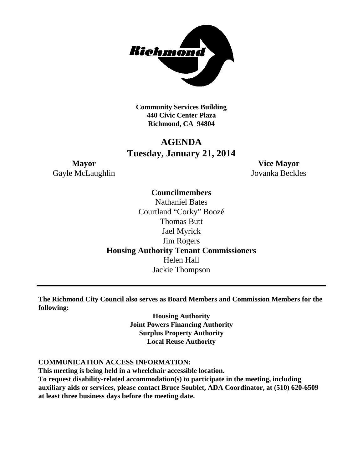

**Community Services Building 440 Civic Center Plaza Richmond, CA 94804**

## **AGENDA Tuesday, January 21, 2014**

Gayle McLaughlin Jovanka Beckles

**Mayor Vice Mayor**

## **Councilmembers** Nathaniel Bates Courtland "Corky" Boozé Thomas Butt Jael Myrick Jim Rogers **Housing Authority Tenant Commissioners** Helen Hall Jackie Thompson

**The Richmond City Council also serves as Board Members and Commission Members for the following:**

> **Housing Authority Joint Powers Financing Authority Surplus Property Authority Local Reuse Authority**

#### **COMMUNICATION ACCESS INFORMATION:**

**This meeting is being held in a wheelchair accessible location. To request disability-related accommodation(s) to participate in the meeting, including auxiliary aids or services, please contact Bruce Soublet, ADA Coordinator, at (510) 620-6509 at least three business days before the meeting date.**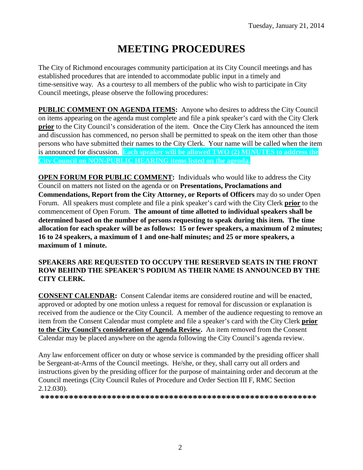# **MEETING PROCEDURES**

The City of Richmond encourages community participation at its City Council meetings and has established procedures that are intended to accommodate public input in a timely and time-sensitive way. As a courtesy to all members of the public who wish to participate in City Council meetings, please observe the following procedures:

**PUBLIC COMMENT ON AGENDA ITEMS:** Anyone who desires to address the City Council on items appearing on the agenda must complete and file a pink speaker's card with the City Clerk **prior** to the City Council's consideration of the item. Once the City Clerk has announced the item and discussion has commenced, no person shall be permitted to speak on the item other than those persons who have submitted their names to the City Clerk. Your name will be called when the item is announced for discussion. **Each speaker will be allowed TWO (2) MINUTES to address the City Council on NON-PUBLIC HEARING items listed on the agenda.**

**OPEN FORUM FOR PUBLIC COMMENT:** Individuals who would like to address the City Council on matters not listed on the agenda or on **Presentations, Proclamations and Commendations, Report from the City Attorney, or Reports of Officers** may do so under Open Forum. All speakers must complete and file a pink speaker's card with the City Clerk **prior** to the commencement of Open Forum. **The amount of time allotted to individual speakers shall be determined based on the number of persons requesting to speak during this item. The time allocation for each speaker will be as follows: 15 or fewer speakers, a maximum of 2 minutes; 16 to 24 speakers, a maximum of 1 and one-half minutes; and 25 or more speakers, a maximum of 1 minute.**

#### **SPEAKERS ARE REQUESTED TO OCCUPY THE RESERVED SEATS IN THE FRONT ROW BEHIND THE SPEAKER'S PODIUM AS THEIR NAME IS ANNOUNCED BY THE CITY CLERK.**

**CONSENT CALENDAR:** Consent Calendar items are considered routine and will be enacted, approved or adopted by one motion unless a request for removal for discussion or explanation is received from the audience or the City Council. A member of the audience requesting to remove an item from the Consent Calendar must complete and file a speaker's card with the City Clerk **prior to the City Council's consideration of Agenda Review.** An item removed from the Consent Calendar may be placed anywhere on the agenda following the City Council's agenda review.

Any law enforcement officer on duty or whose service is commanded by the presiding officer shall be Sergeant-at-Arms of the Council meetings. He/she, or they, shall carry out all orders and instructions given by the presiding officer for the purpose of maintaining order and decorum at the Council meetings (City Council Rules of Procedure and Order Section III F, RMC Section 2.12.030).

**\*\*\*\*\*\*\*\*\*\*\*\*\*\*\*\*\*\*\*\*\*\*\*\*\*\*\*\*\*\*\*\*\*\*\*\*\*\*\*\*\*\*\*\*\*\*\*\*\*\*\*\*\*\*\*\*\*\***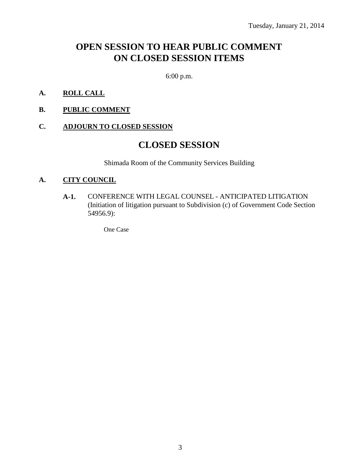# **OPEN SESSION TO HEAR PUBLIC COMMENT ON CLOSED SESSION ITEMS**

6:00 p.m.

- **A. ROLL CALL**
- **B. PUBLIC COMMENT**

#### **C. ADJOURN TO CLOSED SESSION**

## **CLOSED SESSION**

Shimada Room of the Community Services Building

#### **A. CITY COUNCIL**

**A-1.** CONFERENCE WITH LEGAL COUNSEL - ANTICIPATED LITIGATION (Initiation of litigation pursuant to Subdivision (c) of Government Code Section 54956.9):

One Case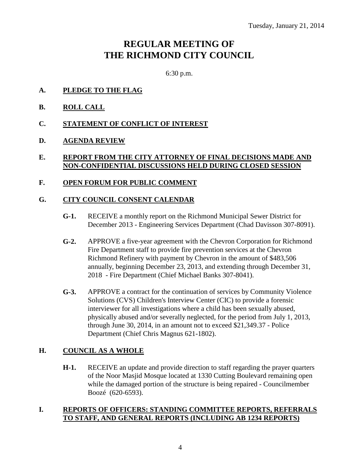# **REGULAR MEETING OF THE RICHMOND CITY COUNCIL**

6:30 p.m.

- **A. PLEDGE TO THE FLAG**
- **B. ROLL CALL**
- **C. STATEMENT OF CONFLICT OF INTEREST**
- **D. AGENDA REVIEW**

#### **E. REPORT FROM THE CITY ATTORNEY OF FINAL DECISIONS MADE AND NON-CONFIDENTIAL DISCUSSIONS HELD DURING CLOSED SESSION**

#### **F. OPEN FORUM FOR PUBLIC COMMENT**

### **G. CITY COUNCIL CONSENT CALENDAR**

- **G-1.** RECEIVE a monthly report on the Richmond Municipal Sewer District for December 2013 - Engineering Services Department (Chad Davisson 307-8091).
- **G-2.** APPROVE a five-year agreement with the Chevron Corporation for Richmond Fire Department staff to provide fire prevention services at the Chevron Richmond Refinery with payment by Chevron in the amount of \$483,506 annually, beginning December 23, 2013, and extending through December 31, 2018 - Fire Department (Chief Michael Banks 307-8041).
- **G-3.** APPROVE a contract for the continuation of services by Community Violence Solutions (CVS) Children's Interview Center (CIC) to provide a forensic interviewer for all investigations where a child has been sexually abused, physically abused and/or severally neglected, for the period from July 1, 2013, through June 30, 2014, in an amount not to exceed \$21,349.37 - Police Department (Chief Chris Magnus 621-1802).

#### **H. COUNCIL AS A WHOLE**

**H-1.** RECEIVE an update and provide direction to staff regarding the prayer quarters of the Noor Masjid Mosque located at 1330 Cutting Boulevard remaining open while the damaged portion of the structure is being repaired - Councilmember Boozé (620-6593).

#### **I. REPORTS OF OFFICERS: STANDING COMMITTEE REPORTS, REFERRALS TO STAFF, AND GENERAL REPORTS (INCLUDING AB 1234 REPORTS)**